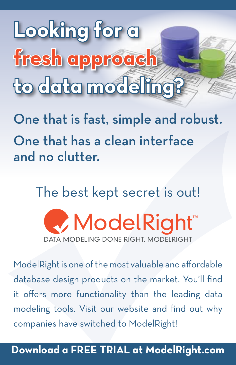**Looking for a fresh approach to data modeling?**

One that is fast, simple and robust. One that has a clean interface and no clutter.

The best kept secret is out!

ModelRight™ DATA MODELING DONE RIGHT, MODELRIGHT

ModelRight is one of the most valuable and affordable database design products on the market. You'll find it offers more functionality than the leading data modeling tools. Visit our website and find out why companies have switched to ModelRight!

## **Download a FREE TRIAL at ModelRight.com**